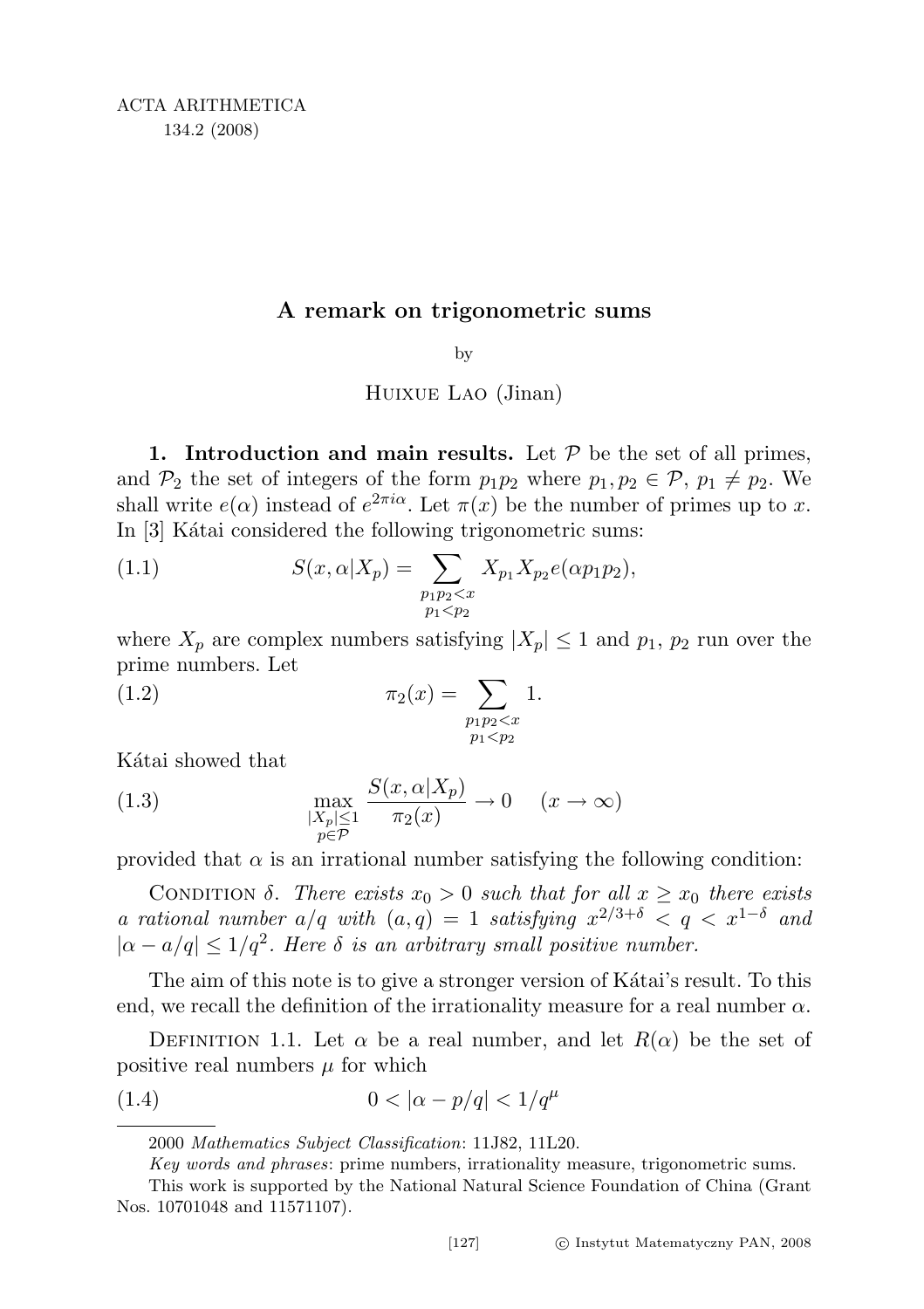## A remark on trigonometric sums

by

Huixue Lao (Jinan)

1. Introduction and main results. Let  $P$  be the set of all primes, and  $\mathcal{P}_2$  the set of integers of the form  $p_1p_2$  where  $p_1, p_2 \in \mathcal{P}$ ,  $p_1 \neq p_2$ . We shall write  $e(\alpha)$  instead of  $e^{2\pi i\alpha}$ . Let  $\pi(x)$  be the number of primes up to x. In [3] Kátai considered the following trigonometric sums:

(1.1) 
$$
S(x, \alpha | X_p) = \sum_{\substack{p_1p_2 < x \\ p_1 < p_2}} X_{p_1} X_{p_2} e(\alpha p_1 p_2),
$$

where  $X_p$  are complex numbers satisfying  $|X_p| \leq 1$  and  $p_1, p_2$  run over the prime numbers. Let

(1.2) 
$$
\pi_2(x) = \sum_{\substack{p_1p_2 < x \\ p_1 < p_2}} 1.
$$

Kátai showed that

(1.3) 
$$
\max_{\substack{|X_p| \le 1 \\ p \in \mathcal{P}}} \frac{S(x, \alpha | X_p)}{\pi_2(x)} \to 0 \quad (x \to \infty)
$$

provided that  $\alpha$  is an irrational number satisfying the following condition:

CONDITION  $\delta$ . There exists  $x_0 > 0$  such that for all  $x \geq x_0$  there exists a rational number  $a/q$  with  $(a,q) = 1$  satisfying  $x^{2/3+\delta} < q < x^{1-\delta}$  and  $|\alpha - a/q| \leq 1/q^2$ . Here  $\delta$  is an arbitrary small positive number.

The aim of this note is to give a stronger version of Katai's result. To this end, we recall the definition of the irrationality measure for a real number  $\alpha$ .

DEFINITION 1.1. Let  $\alpha$  be a real number, and let  $R(\alpha)$  be the set of positive real numbers  $\mu$  for which

(1.4) 
$$
0 < |\alpha - p/q| < 1/q^{\mu}
$$

<sup>2000</sup> Mathematics Subject Classification: 11J82, 11L20.

Key words and phrases: prime numbers, irrationality measure, trigonometric sums.

This work is supported by the National Natural Science Foundation of China (Grant Nos. 10701048 and 11571107).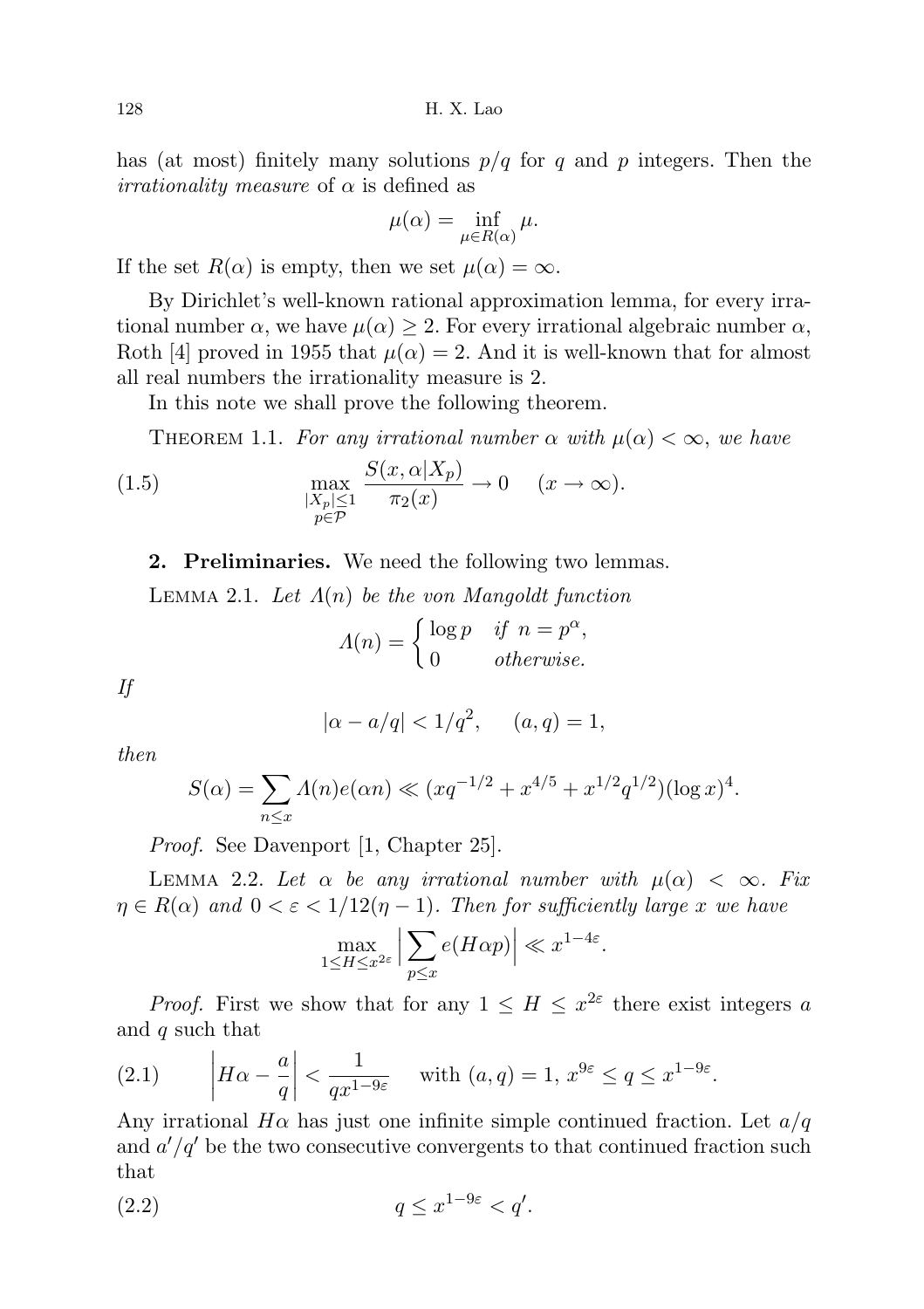128 H. X. Lao

has (at most) finitely many solutions  $p/q$  for q and p integers. Then the *irrationality measure* of  $\alpha$  is defined as

$$
\mu(\alpha) = \inf_{\mu \in R(\alpha)} \mu.
$$

If the set  $R(\alpha)$  is empty, then we set  $\mu(\alpha) = \infty$ .

By Dirichlet's well-known rational approximation lemma, for every irrational number  $\alpha$ , we have  $\mu(\alpha) \geq 2$ . For every irrational algebraic number  $\alpha$ , Roth [4] proved in 1955 that  $\mu(\alpha) = 2$ . And it is well-known that for almost all real numbers the irrationality measure is 2.

In this note we shall prove the following theorem.

THEOREM 1.1. For any irrational number  $\alpha$  with  $\mu(\alpha) < \infty$ , we have

(1.5) 
$$
\max_{\substack{|X_p| \le 1 \\ p \in \mathcal{P}}} \frac{S(x, \alpha | X_p)}{\pi_2(x)} \to 0 \quad (x \to \infty).
$$

2. Preliminaries. We need the following two lemmas.

LEMMA 2.1. Let  $\Lambda(n)$  be the von Mangoldt function

$$
\Lambda(n) = \begin{cases} \log p & \text{if } n = p^{\alpha}, \\ 0 & \text{otherwise.} \end{cases}
$$

If

 $|\alpha - a/q| < 1/q^2$ ,  $(a, q) = 1$ ,

then

$$
S(\alpha) = \sum_{n \le x} \Lambda(n) e(\alpha n) \ll (xq^{-1/2} + x^{4/5} + x^{1/2} q^{1/2}) (\log x)^4.
$$

Proof. See Davenport [1, Chapter 25].

LEMMA 2.2. Let  $\alpha$  be any irrational number with  $\mu(\alpha) < \infty$ . Fix  $\eta \in R(\alpha)$  and  $0 < \varepsilon < 1/12(\eta - 1)$ . Then for sufficiently large x we have

$$
\max_{1 \le H \le x^{2\varepsilon}} \Big| \sum_{p \le x} e(H\alpha p) \Big| \ll x^{1-4\varepsilon}.
$$

*Proof.* First we show that for any  $1 \leq H \leq x^{2\varepsilon}$  there exist integers a and q such that

(2.1) 
$$
\left| H\alpha - \frac{a}{q} \right| < \frac{1}{qx^{1-9\varepsilon}} \quad \text{with } (a,q) = 1, \, x^{9\varepsilon} \le q \le x^{1-9\varepsilon}.
$$

Any irrational  $H\alpha$  has just one infinite simple continued fraction. Let  $a/q$ and  $a'/q'$  be the two consecutive convergents to that continued fraction such that

$$
(2.2) \t\t q \le x^{1-9\varepsilon} < q'.
$$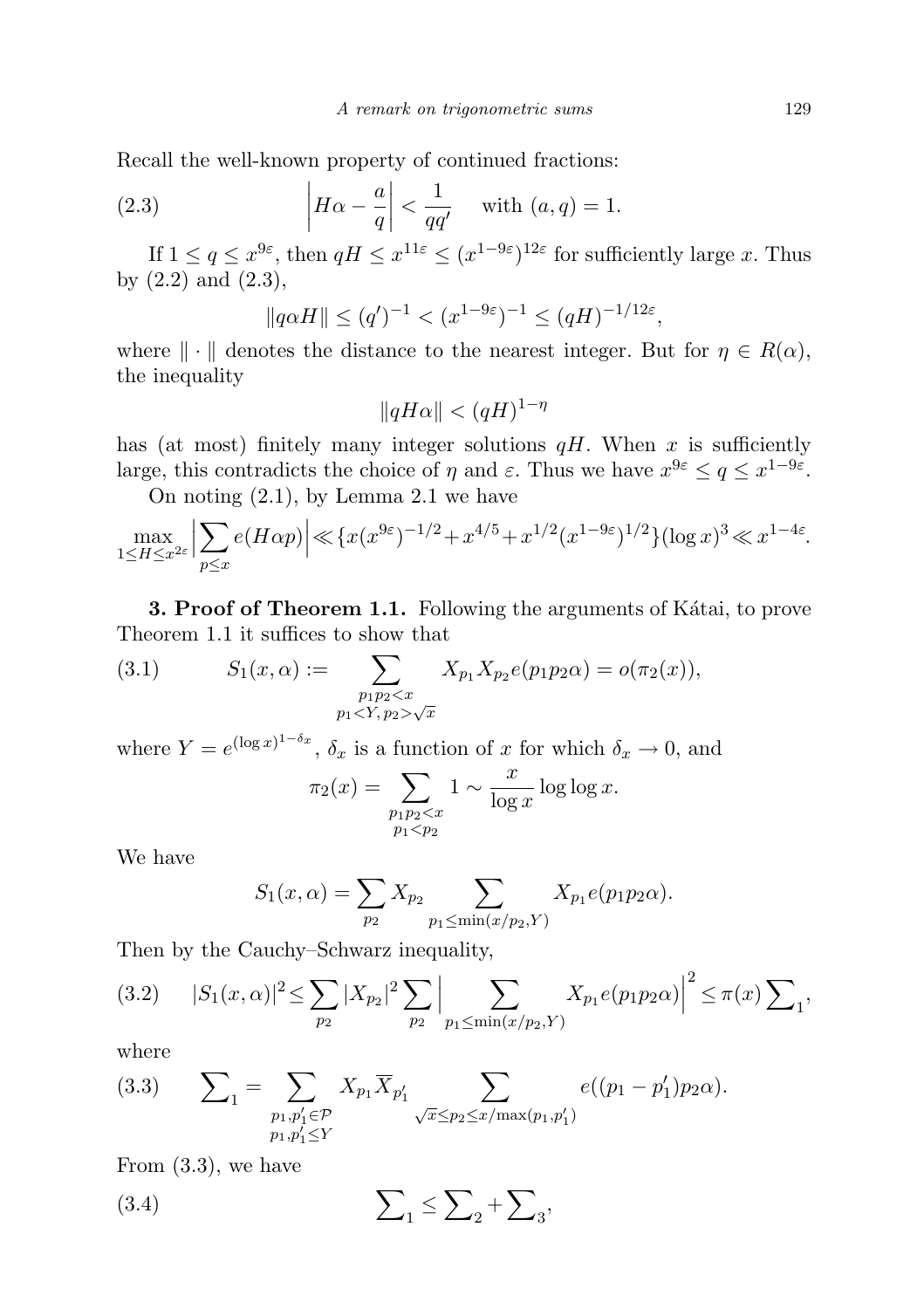Recall the well-known property of continued fractions:

(2.3) 
$$
\left| H\alpha - \frac{a}{q} \right| < \frac{1}{qq'} \quad \text{with } (a,q) = 1.
$$

If  $1 \le q \le x^{9\varepsilon}$ , then  $qH \le x^{11\varepsilon} \le (x^{1-9\varepsilon})^{12\varepsilon}$  for sufficiently large x. Thus by  $(2.2)$  and  $(2.3)$ ,

$$
||q\alpha H|| \le (q')^{-1} < (x^{1-9\varepsilon})^{-1} \le (qH)^{-1/12\varepsilon},
$$

where  $\|\cdot\|$  denotes the distance to the nearest integer. But for  $\eta \in R(\alpha)$ , the inequality

$$
||qH\alpha|| < (qH)^{1-\eta}
$$

has (at most) finitely many integer solutions  $qH$ . When x is sufficiently large, this contradicts the choice of  $\eta$  and  $\varepsilon$ . Thus we have  $x^{9\varepsilon} \leq q \leq x^{1-9\varepsilon}$ .

On noting (2.1), by Lemma 2.1 we have

$$
\max_{1 \le H \le x^{2\varepsilon}} \left| \sum_{p \le x} e(H\alpha p) \right| \ll \left\{ x(x^{9\varepsilon})^{-1/2} + x^{4/5} + x^{1/2} (x^{1-9\varepsilon})^{1/2} \right\} (\log x)^3 \ll x^{1-4\varepsilon}.
$$

**3. Proof of Theorem 1.1.** Following the arguments of Katai, to prove Theorem 1.1 it suffices to show that

(3.1) 
$$
S_1(x, \alpha) := \sum_{\substack{p_1p_2 < x \\ p_1 < Y, p_2 > \sqrt{x}}} X_{p_1} X_{p_2} e(p_1 p_2 \alpha) = o(\pi_2(x)),
$$

where  $Y = e^{(\log x)^{1-\delta_x}}$ ,  $\delta_x$  is a function of x for which  $\delta_x \to 0$ , and

$$
\pi_2(x) = \sum_{\substack{p_1p_2 < x \\ p_1 < p_2}} 1 \sim \frac{x}{\log x} \log \log x.
$$

We have

$$
S_1(x, \alpha) = \sum_{p_2} X_{p_2} \sum_{p_1 \le \min(x/p_2, Y)} X_{p_1} e(p_1 p_2 \alpha).
$$

Then by the Cauchy–Schwarz inequality,

$$
(3.2) \t|S_1(x,\alpha)|^2 \leq \sum_{p_2} |X_{p_2}|^2 \sum_{p_2} \Big| \sum_{p_1 \leq \min(x/p_2,Y)} X_{p_1} e(p_1 p_2 \alpha) \Big|^2 \leq \pi(x) \sum_{p_1},
$$

where

(3.3) 
$$
\sum_{1} = \sum_{\substack{p_1, p'_1 \in \mathcal{P} \\ p_1, p'_1 \le Y}} X_{p_1} \overline{X}_{p'_1} \sum_{\sqrt{x} \le p_2 \le x/\max(p_1, p'_1)} e((p_1 - p'_1)p_2 \alpha).
$$

From (3.3), we have

$$
(3.4)\qquad \qquad \sum_{1} \leq \sum_{2} + \sum_{3},
$$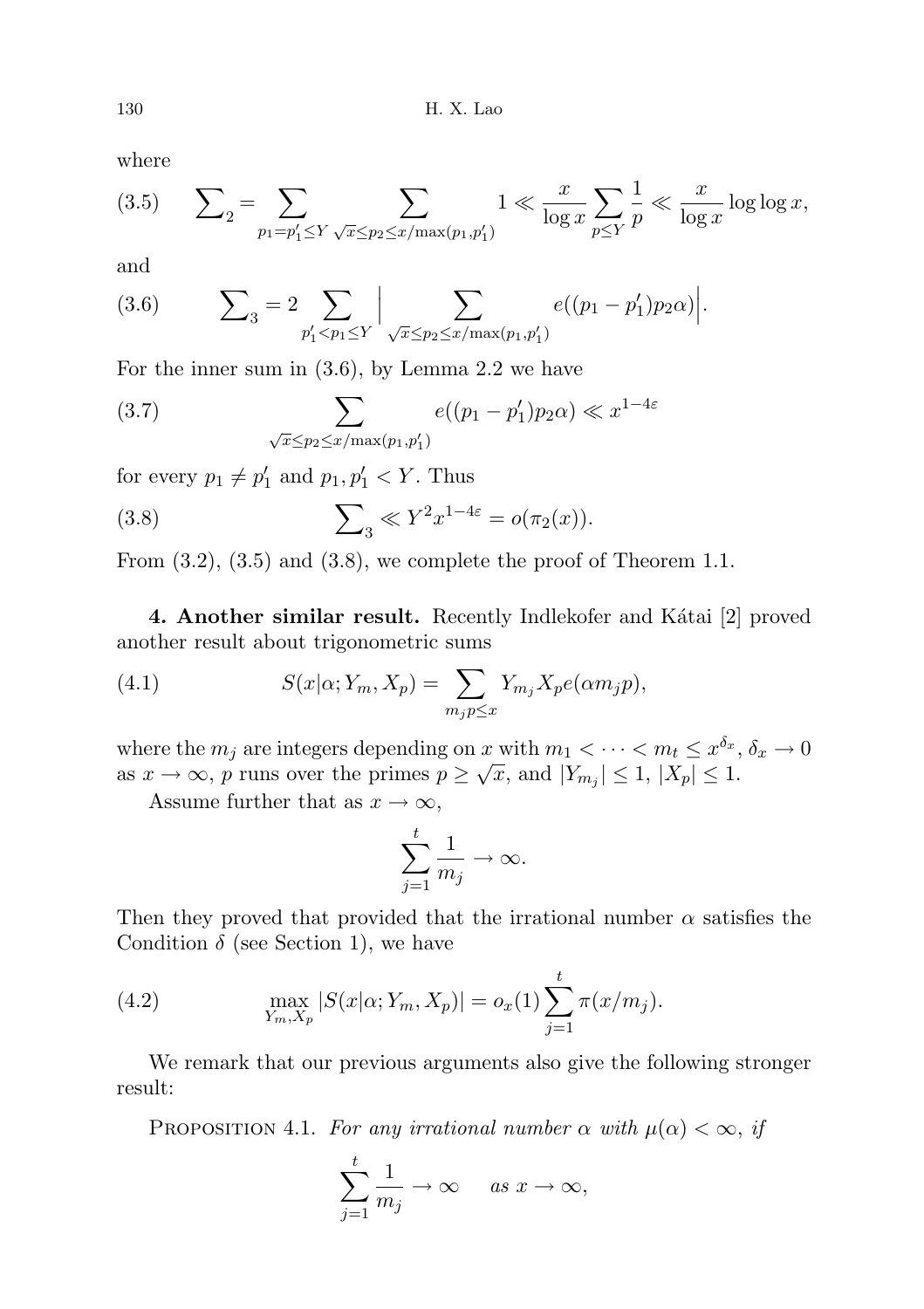where

(3.5) 
$$
\sum_{2} = \sum_{p_1 = p'_1 \le Y} \sum_{\sqrt{x} \le p_2 \le x/\max(p_1, p'_1)} 1 \ll \frac{x}{\log x} \sum_{p \le Y} \frac{1}{p} \ll \frac{x}{\log x} \log \log x,
$$

and

(3.6) 
$$
\sum_{3} = 2 \sum_{p'_1 < p_1 \le Y} \Big| \sum_{\sqrt{x} \le p_2 \le x/\max(p_1, p'_1)} e((p_1 - p'_1)p_2 \alpha) \Big|.
$$

For the inner sum in (3.6), by Lemma 2.2 we have

(3.7) 
$$
\sum_{\sqrt{x} \leq p_2 \leq x/\max(p_1, p'_1)} e((p_1 - p'_1)p_2\alpha) \ll x^{1-4\varepsilon}
$$

for every  $p_1 \neq p'_1$  and  $p_1, p'_1 < Y$ . Thus

(3.8) 
$$
\sum_{3} \ll Y^{2} x^{1-4\varepsilon} = o(\pi_{2}(x)).
$$

From  $(3.2)$ ,  $(3.5)$  and  $(3.8)$ , we complete the proof of Theorem 1.1.

4. Another similar result. Recently Indlekofer and Kátai [2] proved another result about trigonometric sums

(4.1) 
$$
S(x|\alpha; Y_m, X_p) = \sum_{m_j p \leq x} Y_{m_j} X_p e(\alpha m_j p),
$$

where the  $m_j$  are integers depending on x with  $m_1 < \cdots < m_t \leq x^{\delta_x}, \delta_x \to 0$ as  $x \to \infty$ , p runs over the primes  $p \geq \sqrt{x}$ , and  $|Y_{m_j}| \leq 1$ ,  $|X_p| \leq 1$ .

Assume further that as  $x \to \infty$ ,

$$
\sum_{j=1}^t \frac{1}{m_j} \to \infty.
$$

Then they proved that provided that the irrational number  $\alpha$  satisfies the Condition  $\delta$  (see Section 1), we have

(4.2) 
$$
\max_{Y_m, X_p} |S(x|\alpha; Y_m, X_p)| = o_x(1) \sum_{j=1}^t \pi(x/m_j).
$$

We remark that our previous arguments also give the following stronger result:

PROPOSITION 4.1. For any irrational number  $\alpha$  with  $\mu(\alpha) < \infty$ , if

$$
\sum_{j=1}^{t} \frac{1}{m_j} \to \infty \quad \text{as } x \to \infty,
$$